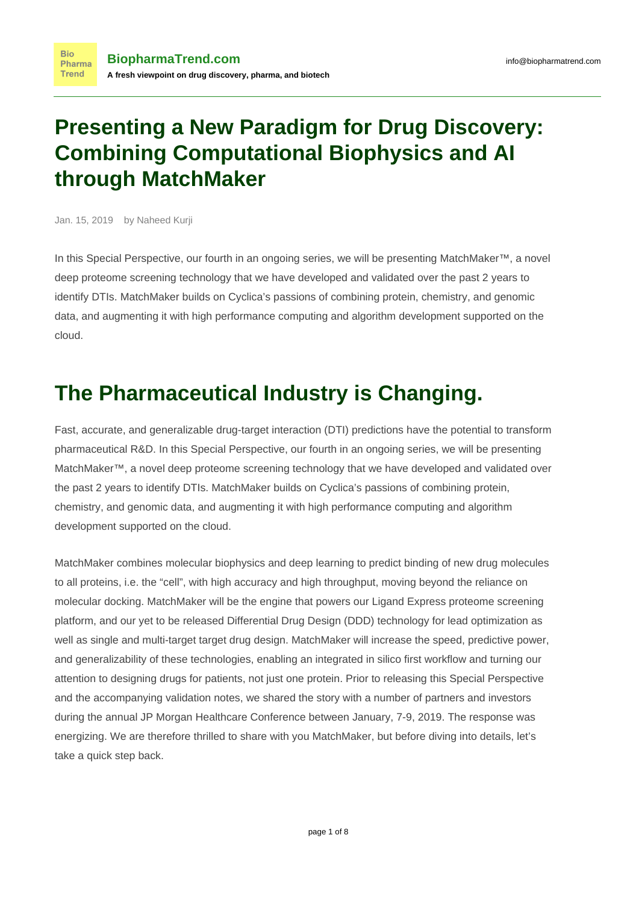#### **Presenting a New Paradigm for Drug Discovery: Combining Computational Biophysics and AI through MatchMaker**

Jan. 15, 2019 by Naheed Kurji

**Bio** 

**Trend** 

In this Special Perspective, our fourth in an ongoing series, we will be presenting MatchMaker™, a novel deep proteome screening technology that we have developed and validated over the past 2 years to identify DTIs. MatchMaker builds on Cyclica's passions of combining protein, chemistry, and genomic data, and augmenting it with high performance computing and algorithm development supported on the cloud.

#### **The Pharmaceutical Industry is Changing.**

Fast, accurate, and generalizable drug-target interaction (DTI) predictions have the potential to transform pharmaceutical R&D. In this Special Perspective, our fourth in an ongoing series, we will be presenting MatchMaker™, a novel deep proteome screening technology that we have developed and validated over the past 2 years to identify DTIs. MatchMaker builds on [Cyclica'](https://www.biopharmatrend.com/m/company/cyclica/)s passions of combining protein, chemistry, and genomic data, and augmenting it with high performance computing and algorithm development supported on the cloud.

MatchMaker combines molecular biophysics and deep learning to predict binding of new drug molecules to all proteins, i.e. the "cell", with high accuracy and high throughput, moving beyond the reliance on molecular docking. MatchMaker will be the engine that powers our Ligand Express proteome screening platform, and our yet to be released Differential Drug Design (DDD) technology for lead optimization as well as single and multi-target target drug design. MatchMaker will increase the speed, predictive power, and generalizability of these technologies, enabling an integrated in silico first workflow and turning our attention to designing drugs for patients, not just one protein. Prior to releasing this Special Perspective and the accompanying validation notes, we shared the story with a number of partners and investors during the annual JP Morgan Healthcare Conference between January, 7-9, 2019. The response was energizing. We are therefore thrilled to share with you MatchMaker, but before diving into details, let's take a quick step back.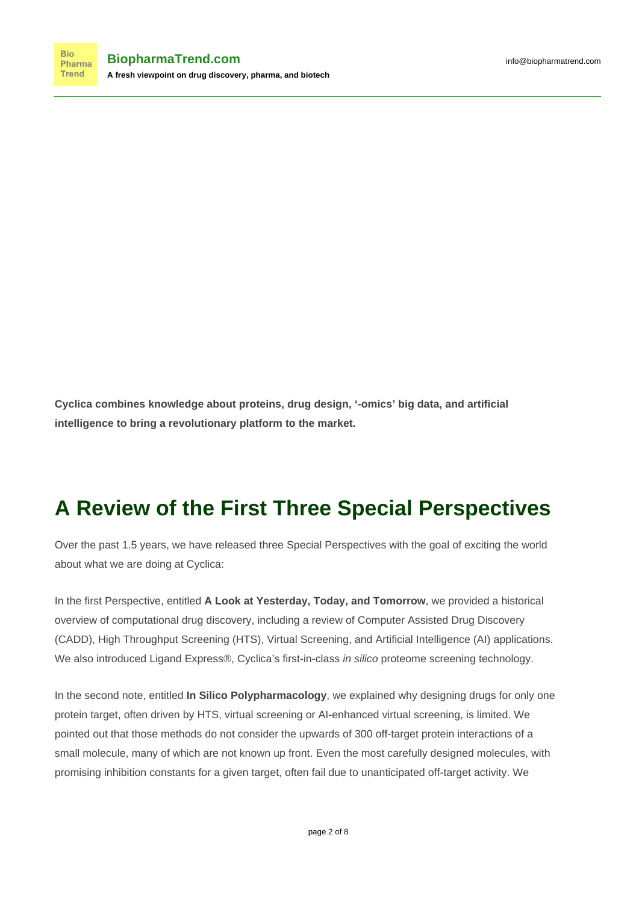**Cyclica combines knowledge about proteins, drug design, '-omics' big data, and artificial intelligence to bring a revolutionary platform to the market.**

## **A Review of the First Three Special Perspectives**

Over the past 1.5 years, we have released three Special Perspectives with the goal of exciting the world about what we are doing at Cyclica:

In the [first](https://cyclicarx.com/news/2017/2/1/special-perspective) Perspective, entitled **A Look at Yesterday, Today, and Tomorrow**, we provided a historical overview of computational drug discovery, including a review of Computer Assisted Drug Discovery (CADD), High Throughput Screening (HTS), Virtual Screening, and Artificial Intelligence (AI) applications. We also introduced Ligand Express®, Cyclica's first-in-class in silico proteome screening technology.

In the [second](https://cyclicarx.com/news/in-silico-polypharmacology) note, entitled **In Silico Polypharmacology**, we explained why designing drugs for only one protein target, often driven by HTS, virtual screening or AI-enhanced virtual screening, is limited. We pointed out that those methods do not consider the upwards of 300 off-target protein interactions of a small molecule, many of which are not known up front. Even the most carefully designed molecules, with promising inhibition constants for a given target, often fail due to unanticipated off-target activity. We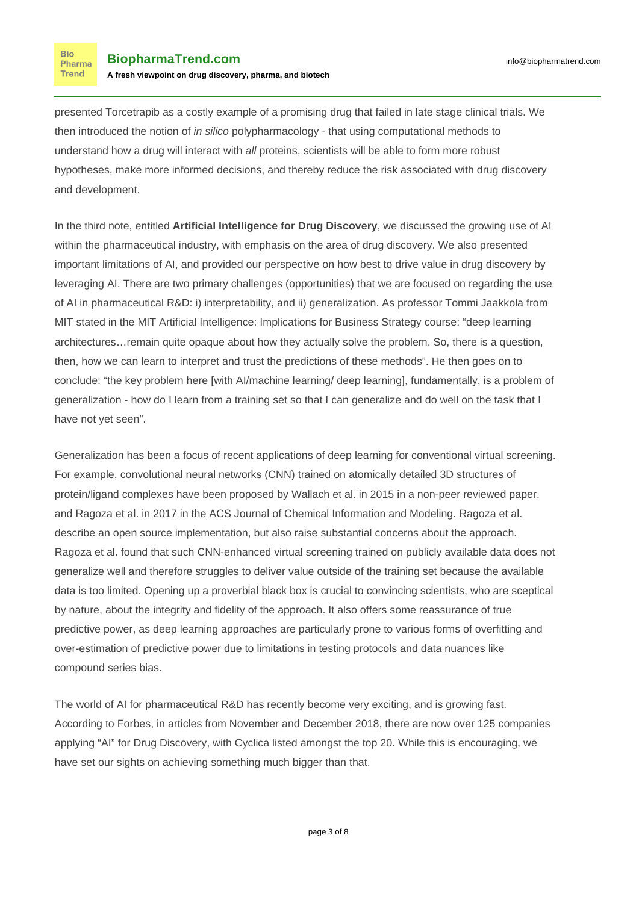presented Torcetrapib as a costly example of a promising drug that failed in late stage clinical trials. We then introduced the notion of in silico polypharmacology - that using computational methods to understand how a drug will interact with all proteins, scientists will be able to form more robust hypotheses, make more informed decisions, and thereby reduce the risk associated with drug discovery and development.

In the [third](https://cyclicarx.com/news/artificial-intelligence-drug-discovery) note, entitled **Artificial Intelligence for Drug Discovery**, we discussed the growing use of AI within the pharmaceutical industry, with emphasis on the area of drug discovery. We also presented important limitations of AI, and provided our perspective on how best to drive value in drug discovery by leveraging AI. There are two primary challenges (opportunities) that we are focused on regarding the use of AI in pharmaceutical R&D: i) interpretability, and ii) generalization. As professor Tommi Jaakkola from MIT stated in the MIT Artificial Intelligence: Implications for Business Strategy course: "deep learning architectures…remain quite opaque about how they actually solve the problem. So, there is a question, then, how we can learn to interpret and trust the predictions of these methods". He then goes on to conclude: "the key problem here [with AI/machine learning/ deep learning], fundamentally, is a problem of generalization - how do I learn from a training set so that I can generalize and do well on the task that I have not yet seen".

Generalization has been a focus of recent applications of deep learning for conventional virtual screening. For example, convolutional neural networks (CNN) trained on atomically detailed 3D structures of protein/ligand complexes have been proposed by [Wallach et al. in 2015](https://arxiv.org/abs/1510.02855) in a non-peer reviewed paper, and [Ragoza et al. in 2017](https://www.ncbi.nlm.nih.gov/pubmed/28368587) in the ACS Journal of Chemical Information and Modeling. Ragoza et al. describe an open source implementation, but also raise substantial concerns about the approach. Ragoza et al. found that such CNN-enhanced virtual screening trained on publicly available data does not generalize well and therefore struggles to deliver value outside of the training set because the available data is too limited. Opening up a proverbial black box is crucial to convincing scientists, who are sceptical by nature, about the integrity and fidelity of the approach. It also offers some reassurance of true predictive power, as deep learning approaches are particularly prone to various forms of overfitting and over-estimation of predictive power due to limitations in testing protocols and data nuances like compound series bias.

The world of AI for pharmaceutical R&D has recently become very exciting, and is growing fast. According to Forbes, in articles from [November](https://www.forbes.com/sites/yiannismouratidis/2018/11/30/an-insight-of-ais-penetration-in-drug-development-market/) and [December](https://www.forbes.com/sites/yiannismouratidis/2018/12/16/the-rising-star-companies-in-ai-drug-development/#14ecd62751cf) 2018, there are now over 125 companies applying "AI" for Drug Discovery, with Cyclica listed amongst the top 20. While this is encouraging, we have set our sights on achieving something much bigger than that.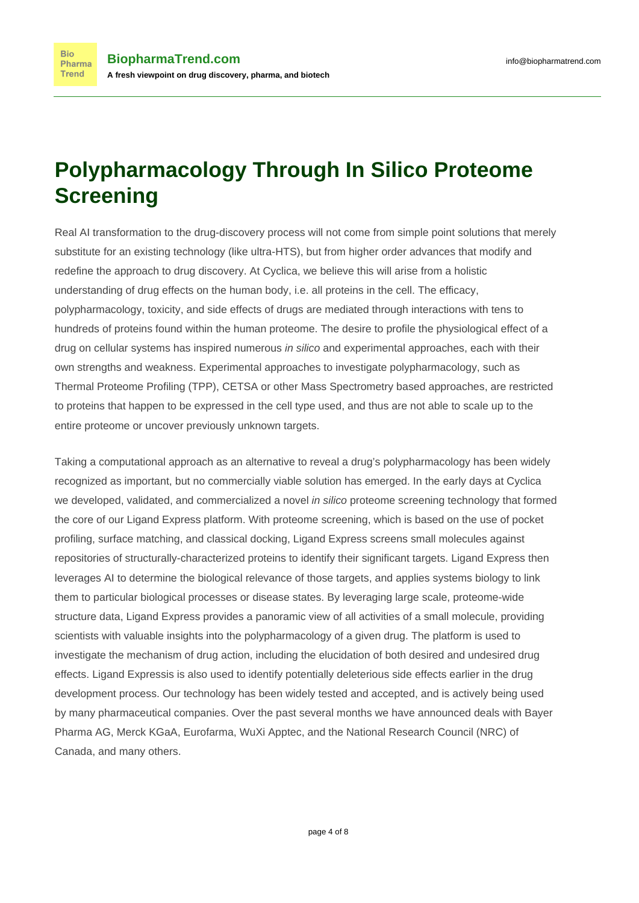**Bio** 

# **Polypharmacology Through In Silico Proteome Screening**

Real AI transformation to the drug-discovery process will not come from simple point solutions that merely substitute for an existing technology (like ultra-HTS), but from higher order advances that modify and redefine the approach to drug discovery. At Cyclica, we believe this will arise from a holistic understanding of drug effects on the human body, i.e. all proteins in the cell. The efficacy, polypharmacology, toxicity, and side effects of drugs are mediated through interactions with tens to hundreds of proteins found within the human proteome. The desire to profile the physiological effect of a drug on cellular systems has inspired numerous in silico and experimental approaches, each with their own strengths and weakness. Experimental approaches to investigate polypharmacology, such as Thermal Proteome Profiling (TPP), CETSA or other Mass Spectrometry based approaches, are restricted to proteins that happen to be expressed in the cell type used, and thus are not able to scale up to the entire proteome or uncover previously unknown targets.

Taking a computational approach as an alternative to reveal a drug's polypharmacology has been widely recognized as important, but no commercially viable solution has emerged. In the early days at Cyclica we developed, validated, and commercialized a novel in silico proteome screening technology that formed the core of our Ligand Express platform. With proteome screening, which is based on the use of pocket profiling, surface matching, and classical docking, Ligand Express screens small molecules against repositories of structurally-characterized proteins to identify their significant targets. Ligand Express then leverages AI to determine the biological relevance of those targets, and applies systems biology to link them to particular biological processes or disease states. By leveraging large scale, proteome-wide structure data, Ligand Express provides a panoramic view of all activities of a small molecule, providing scientists with valuable insights into the polypharmacology of a given drug. The platform is used to investigate the mechanism of drug action, including the elucidation of both desired and undesired drug effects. Ligand Expressis is also used to identify potentially deleterious side effects earlier in the drug development process. Our technology has been widely tested and accepted, and is actively being used by many pharmaceutical companies. Over the past several months we have announced deals with [Bayer](https://www.businesswire.com/news/home/20181126005455/en/Cyclica-Drives-Drug-Discovery-AI-Augmented-Integrated-Network) [Pharma AG](https://www.businesswire.com/news/home/20181126005455/en/Cyclica-Drives-Drug-Discovery-AI-Augmented-Integrated-Network), [Merck KGaA](https://www.prnewswire.com/news-releases/merck-kgaa-darmstadt-germany-in-agreement-with-cyclica-for-ai-augmented-screening-platform-to-expand-research-capabilities-801736521.html), [Eurofarma,](https://cyclicarx.com/news/eurofarma-cyclica-collaboration) [WuXi Apptec](https://www.fiercebiotech.com/cro/wuxi-apptec-and-cyclica-to-collaborate-drug-discovery-efforts), and the [National Research Council \(NRC\) of](https://www.businesswire.com/news/home/20181024005644/en/Cyclica%E2%80%99s-Cloud-Based-Platform-Ligand-Express-New-Discovery) [Canada](https://www.businesswire.com/news/home/20181024005644/en/Cyclica%E2%80%99s-Cloud-Based-Platform-Ligand-Express-New-Discovery), and many others.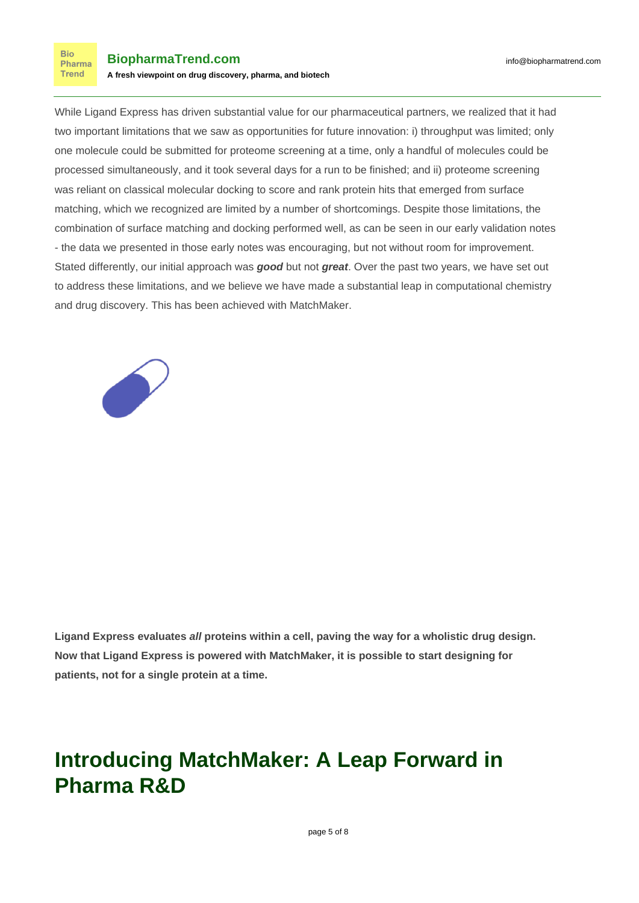

While Ligand Express has driven substantial value for our pharmaceutical partners, we realized that it had two important limitations that we saw as opportunities for future innovation: i) throughput was limited; only one molecule could be submitted for proteome screening at a time, only a handful of molecules could be processed simultaneously, and it took several days for a run to be finished; and ii) proteome screening was reliant on classical molecular docking to score and rank protein hits that emerged from surface matching, which we recognized are limited by a number of shortcomings. Despite those limitations, the combination of surface matching and docking performed well, as can be seen in our early validation notes - the data we presented in those early notes was encouraging, but not without room for improvement. Stated differently, our initial approach was **good** but not **great**. Over the past two years, we have set out to address these limitations, and we believe we have made a substantial leap in computational chemistry and drug discovery. This has been achieved with MatchMaker.



**Ligand Express evaluates all proteins within a cell, paving the way for a wholistic drug design. Now that Ligand Express is powered with MatchMaker, it is possible to start designing for patients, not for a single protein at a time.**

# **Introducing MatchMaker: A Leap Forward in Pharma R&D**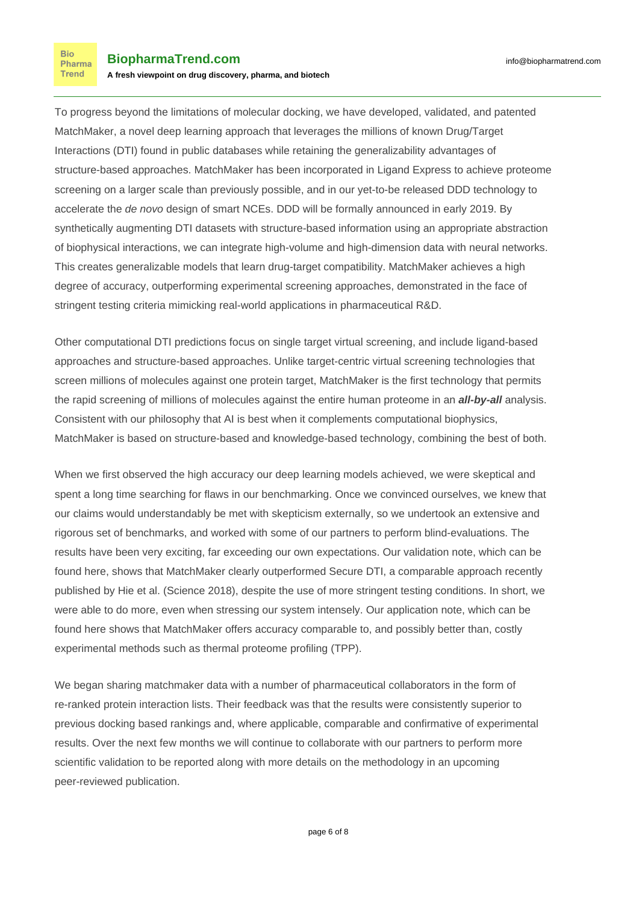To progress beyond the limitations of molecular docking, we have developed, validated, and patented MatchMaker, a novel deep learning approach that leverages the millions of known Drug/Target Interactions (DTI) found in public databases while retaining the generalizability advantages of structure-based approaches. MatchMaker has been incorporated in Ligand Express to achieve proteome screening on a larger scale than previously possible, and in our yet-to-be released DDD technology to accelerate the de novo design of smart NCEs. DDD will be formally announced in early 2019. By synthetically augmenting DTI datasets with structure-based information using an appropriate abstraction of biophysical interactions, we can integrate high-volume and high-dimension data with neural networks. This creates generalizable models that learn drug-target compatibility. MatchMaker achieves a high degree of accuracy, outperforming experimental screening approaches, demonstrated in the face of stringent testing criteria mimicking real-world applications in pharmaceutical R&D.

Other computational DTI predictions focus on single target virtual screening, and include ligand-based approaches and structure-based approaches. Unlike target-centric virtual screening technologies that screen millions of molecules against one protein target, MatchMaker is the first technology that permits the rapid screening of millions of molecules against the entire human proteome in an **all-by-all** analysis. Consistent with our philosophy that AI is best when it complements computational biophysics, MatchMaker is based on structure-based and knowledge-based technology, combining the best of both.

When we first observed the high accuracy our deep learning models achieved, we were skeptical and spent a long time searching for flaws in our benchmarking. Once we convinced ourselves, we knew that our claims would understandably be met with skepticism externally, so we undertook an extensive and rigorous set of benchmarks, and worked with some of our partners to perform blind-evaluations. The results have been very exciting, far exceeding our own expectations. Our validation note, which can be found [here,](https://static1.squarespace.com/static/54b9178ae4b09cb81d821314/t/5c3ce4f94fa51afb62e1074e/1547494654217/Cyclica_ValidationNote_MatchMaker_Benchmark.pdf) shows that MatchMaker clearly outperformed Secure DTI, a comparable approach recently published by [Hie et al. \(Science 2018\)](https://www.ncbi.nlm.nih.gov/pubmed/30337410), despite the use of more stringent testing conditions. In short, we were able to do more, even when stressing our system intensely. Our application note, which can be found [here](https://static1.squarespace.com/static/54b9178ae4b09cb81d821314/t/5c3ce539758d4640ed8d355b/1547494716230/Cyclica_ValidationNote_MM_TPP.pdf) shows that MatchMaker offers accuracy comparable to, and possibly better than, costly experimental methods such as thermal proteome profiling (TPP).

We began sharing matchmaker data with a number of pharmaceutical collaborators in the form of re-ranked protein interaction lists. Their feedback was that the results were consistently superior to previous docking based rankings and, where applicable, comparable and confirmative of experimental results. Over the next few months we will continue to collaborate with our partners to perform more scientific validation to be reported along with more details on the methodology in an upcoming peer-reviewed publication.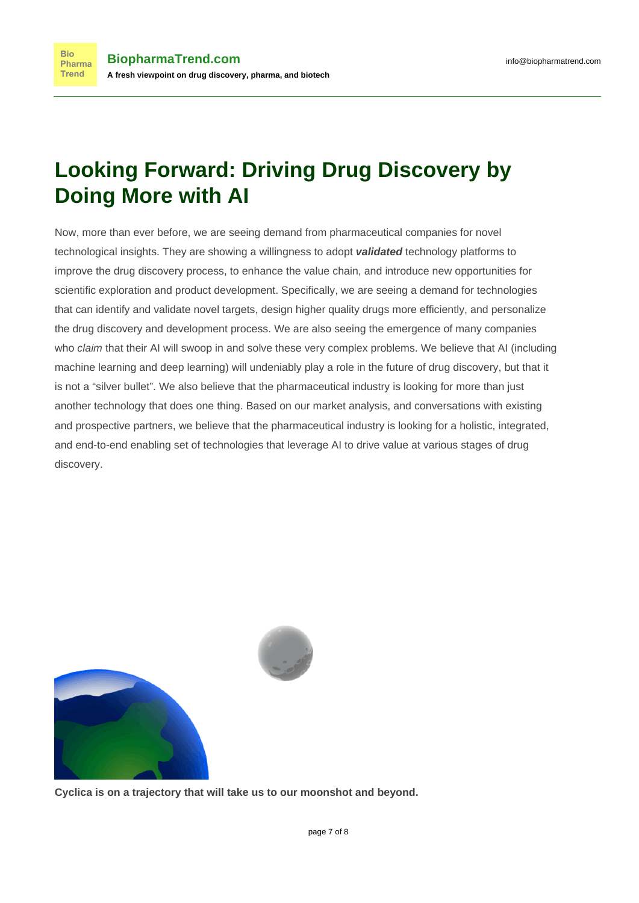## **Looking Forward: Driving Drug Discovery by Doing More with AI**

Now, more than ever before, we are seeing demand from pharmaceutical companies for novel technological insights. They are showing a willingness to adopt **validated** technology platforms to improve the drug discovery process, to enhance the value chain, and introduce new opportunities for scientific exploration and product development. Specifically, we are seeing a demand for technologies that can identify and validate novel targets, design higher quality drugs more efficiently, and personalize the drug discovery and development process. We are also seeing the emergence of many companies who *claim* that their AI will swoop in and solve these very complex problems. We believe that AI (including machine learning and deep learning) will undeniably play a role in the future of drug discovery, but that it is not a "silver bullet". We also believe that the pharmaceutical industry is looking for more than just another technology that does one thing. Based on our market analysis, and conversations with existing and prospective partners, we believe that the pharmaceutical industry is looking for a holistic, integrated, and end-to-end enabling set of technologies that leverage AI to drive value at various stages of drug discovery.





**Cyclica is on a trajectory that will take us to our moonshot and beyond.**